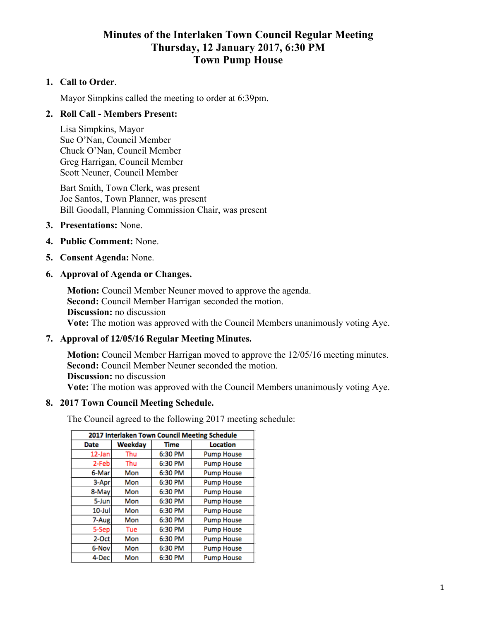# **Minutes of the Interlaken Town Council Regular Meeting Thursday, 12 January 2017, 6:30 PM Town Pump House**

### **1. Call to Order**.

Mayor Simpkins called the meeting to order at 6:39pm.

### **2. Roll Call - Members Present:**

Lisa Simpkins, Mayor Sue O'Nan, Council Member Chuck O'Nan, Council Member Greg Harrigan, Council Member Scott Neuner, Council Member

Bart Smith, Town Clerk, was present Joe Santos, Town Planner, was present Bill Goodall, Planning Commission Chair, was present

- **3. Presentations:** None.
- **4. Public Comment:** None.
- **5. Consent Agenda:** None.
- **6. Approval of Agenda or Changes.**

**Motion:** Council Member Neuner moved to approve the agenda. **Second:** Council Member Harrigan seconded the motion. **Discussion:** no discussion **Vote:** The motion was approved with the Council Members unanimously voting Aye.

### **7. Approval of 12/05/16 Regular Meeting Minutes.**

**Motion:** Council Member Harrigan moved to approve the 12/05/16 meeting minutes. **Second:** Council Member Neuner seconded the motion. **Discussion:** no discussion **Vote:** The motion was approved with the Council Members unanimously voting Aye.

#### **8. 2017 Town Council Meeting Schedule.**

The Council agreed to the following 2017 meeting schedule:

| 2017 Interlaken Town Council Meeting Schedule |         |             |                   |
|-----------------------------------------------|---------|-------------|-------------------|
| <b>Date</b>                                   | Weekday | <b>Time</b> | Location          |
| 12-Jan                                        | Thu     | 6:30 PM     | <b>Pump House</b> |
| 2-Feb                                         | Thu     | 6:30 PM     | <b>Pump House</b> |
| 6-Mar                                         | Mon     | 6:30 PM     | <b>Pump House</b> |
| 3-Apr                                         | Mon     | 6:30 PM     | <b>Pump House</b> |
| 8-May                                         | Mon     | 6:30 PM     | <b>Pump House</b> |
| 5-Jun                                         | Mon     | 6:30 PM     | <b>Pump House</b> |
| $10$ -Jul                                     | Mon     | 6:30 PM     | <b>Pump House</b> |
| 7-Aug                                         | Mon     | 6:30 PM     | <b>Pump House</b> |
| 5-Sep                                         | Tue     | 6:30 PM     | <b>Pump House</b> |
| 2-Oct                                         | Mon     | 6:30 PM     | <b>Pump House</b> |
| 6-Nov                                         | Mon     | 6:30 PM     | <b>Pump House</b> |
| 4-Dec                                         | Mon     | 6:30 PM     | <b>Pump House</b> |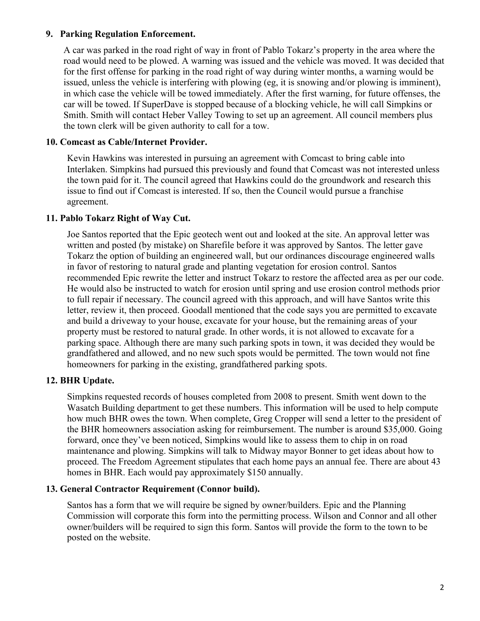### **9. Parking Regulation Enforcement.**

A car was parked in the road right of way in front of Pablo Tokarz's property in the area where the road would need to be plowed. A warning was issued and the vehicle was moved. It was decided that for the first offense for parking in the road right of way during winter months, a warning would be issued, unless the vehicle is interfering with plowing (eg, it is snowing and/or plowing is imminent), in which case the vehicle will be towed immediately. After the first warning, for future offenses, the car will be towed. If SuperDave is stopped because of a blocking vehicle, he will call Simpkins or Smith. Smith will contact Heber Valley Towing to set up an agreement. All council members plus the town clerk will be given authority to call for a tow.

#### **10. Comcast as Cable/Internet Provider.**

Kevin Hawkins was interested in pursuing an agreement with Comcast to bring cable into Interlaken. Simpkins had pursued this previously and found that Comcast was not interested unless the town paid for it. The council agreed that Hawkins could do the groundwork and research this issue to find out if Comcast is interested. If so, then the Council would pursue a franchise agreement.

### **11. Pablo Tokarz Right of Way Cut.**

Joe Santos reported that the Epic geotech went out and looked at the site. An approval letter was written and posted (by mistake) on Sharefile before it was approved by Santos. The letter gave Tokarz the option of building an engineered wall, but our ordinances discourage engineered walls in favor of restoring to natural grade and planting vegetation for erosion control. Santos recommended Epic rewrite the letter and instruct Tokarz to restore the affected area as per our code. He would also be instructed to watch for erosion until spring and use erosion control methods prior to full repair if necessary. The council agreed with this approach, and will have Santos write this letter, review it, then proceed. Goodall mentioned that the code says you are permitted to excavate and build a driveway to your house, excavate for your house, but the remaining areas of your property must be restored to natural grade. In other words, it is not allowed to excavate for a parking space. Although there are many such parking spots in town, it was decided they would be grandfathered and allowed, and no new such spots would be permitted. The town would not fine homeowners for parking in the existing, grandfathered parking spots.

### **12. BHR Update.**

Simpkins requested records of houses completed from 2008 to present. Smith went down to the Wasatch Building department to get these numbers. This information will be used to help compute how much BHR owes the town. When complete, Greg Cropper will send a letter to the president of the BHR homeowners association asking for reimbursement. The number is around \$35,000. Going forward, once they've been noticed, Simpkins would like to assess them to chip in on road maintenance and plowing. Simpkins will talk to Midway mayor Bonner to get ideas about how to proceed. The Freedom Agreement stipulates that each home pays an annual fee. There are about 43 homes in BHR. Each would pay approximately \$150 annually.

#### **13. General Contractor Requirement (Connor build).**

Santos has a form that we will require be signed by owner/builders. Epic and the Planning Commission will corporate this form into the permitting process. Wilson and Connor and all other owner/builders will be required to sign this form. Santos will provide the form to the town to be posted on the website.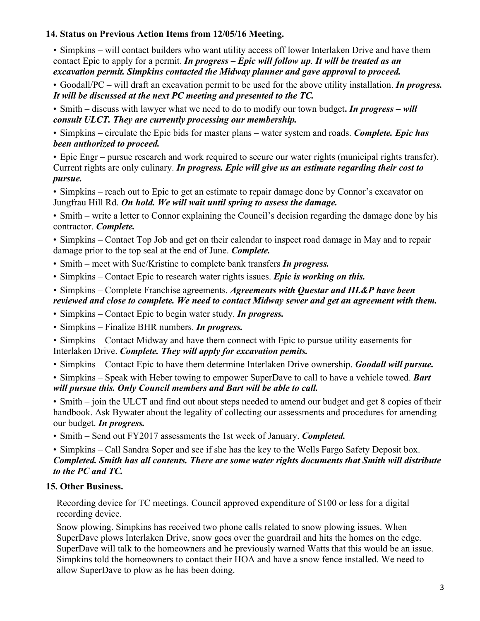### **14. Status on Previous Action Items from 12/05/16 Meeting.**

• Simpkins – will contact builders who want utility access off lower Interlaken Drive and have them contact Epic to apply for a permit. *In progress – Epic will follow up. It will be treated as an excavation permit. Simpkins contacted the Midway planner and gave approval to proceed.*

• Goodall/PC – will draft an excavation permit to be used for the above utility installation. *In progress. It will be discussed at the next PC meeting and presented to the TC.*

• Smith – discuss with lawyer what we need to do to modify our town budget**.** *In progress – will consult ULCT. They are currently processing our membership.*

• Simpkins – circulate the Epic bids for master plans – water system and roads. *Complete. Epic has been authorized to proceed.*

• Epic Engr – pursue research and work required to secure our water rights (municipal rights transfer). Current rights are only culinary. *In progress. Epic will give us an estimate regarding their cost to pursue.*

• Simpkins – reach out to Epic to get an estimate to repair damage done by Connor's excavator on Jungfrau Hill Rd. *On hold. We will wait until spring to assess the damage.*

• Smith – write a letter to Connor explaining the Council's decision regarding the damage done by his contractor. *Complete.*

• Simpkins – Contact Top Job and get on their calendar to inspect road damage in May and to repair damage prior to the top seal at the end of June. *Complete.*

- Smith meet with Sue/Kristine to complete bank transfers *In progress.*
- Simpkins Contact Epic to research water rights issues. *Epic is working on this.*

### • Simpkins – Complete Franchise agreements. *Agreements with Questar and HL&P have been reviewed and close to complete. We need to contact Midway sewer and get an agreement with them.*

- Simpkins Contact Epic to begin water study. *In progress.*
- Simpkins Finalize BHR numbers. *In progress.*
- Simpkins Contact Midway and have them connect with Epic to pursue utility easements for Interlaken Drive. *Complete. They will apply for excavation pemits.*
- Simpkins Contact Epic to have them determine Interlaken Drive ownership. *Goodall will pursue.*

• Simpkins – Speak with Heber towing to empower SuperDave to call to have a vehicle towed. *Bart will pursue this. Only Council members and Bart will be able to call.*

• Smith – join the ULCT and find out about steps needed to amend our budget and get 8 copies of their handbook. Ask Bywater about the legality of collecting our assessments and procedures for amending our budget. *In progress.*

• Smith – Send out FY2017 assessments the 1st week of January. *Completed.*

• Simpkins – Call Sandra Soper and see if she has the key to the Wells Fargo Safety Deposit box. *Completed. Smith has all contents. There are some water rights documents that Smith will distribute to the PC and TC.*

# **15. Other Business.**

Recording device for TC meetings. Council approved expenditure of \$100 or less for a digital recording device.

Snow plowing. Simpkins has received two phone calls related to snow plowing issues. When SuperDave plows Interlaken Drive, snow goes over the guardrail and hits the homes on the edge. SuperDave will talk to the homeowners and he previously warned Watts that this would be an issue. Simpkins told the homeowners to contact their HOA and have a snow fence installed. We need to allow SuperDave to plow as he has been doing.